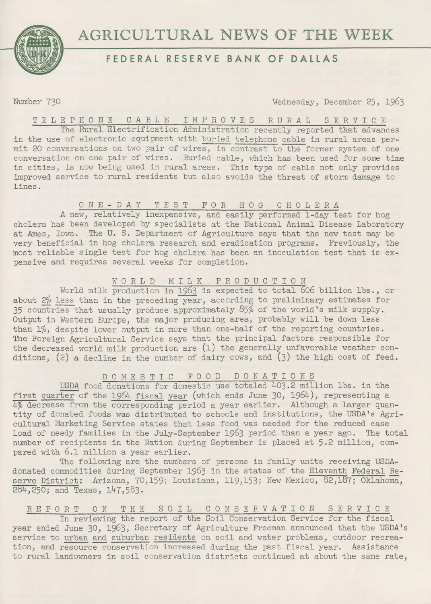



# **FEDERAL RESERVE BANK OF DALLAS**

Number 730 Wednesday, December 25, 1963

T E L E P H O N E C A B L E I M P R O V E S R U R A L S E R V I C E

The Rural Electrification Administration recently reported that advances in the use of electronic equipment with buried telephone cable in rural areas permit 20 conversations on two pair of wires, in contrast to the former system of one conversation on one pair of wires. Buried cable, which has been used for some time in cities, is now being used in rural areas. This type of cable not only provides improved service to rural residents but also avoids the threat of storm damage to lines.

# 0 N E - D *A* Y TEST F 0 R H 0 G C H 0 L E R <sup>A</sup>

*<sup>A</sup>*new, relatively inexpensive, and easily performed 1-day test for hog cholera has been developed by specialists at the National Animal Disease Laboratory at Ames, Iowa. The U. S. Department of Agriculture says that the new test may be very beneficial in hog cholera research and eradication programs. Previously, the most reliable single test for hog cholera has been an inoculation test that is expensive and requires several weeks for completion.

### WORLD MILK PRODUCTION

World milk production in 1963 is expected to total 606 billion lbs., or about 2% less than in the preceding year, according to preliminary estimates for 35 countries that usually produce approximately 85% of the world's milk supply. Output in Western Europe, the major producing area, probably will be down less than  $1\%$ , despite lower output in more than one-half of the reporting countries. The Foreign Agricultural Service says that the principal factors responsible for the decreased world milk production are (1) the generally unfavorable weather conditions, (2) a decline in the number of dairy cows, and (3) the high cost of feed.

## D 0 M E S T I C F 0 0 D D 0 N A T I 0 N S

USDA food donations for domestic use totaled 403.2 million lbs. in the first quarter of the 1964 fiscal year (which ends June 30, 1964), representing a 4% decrease from the corresponding period a year earlier. Although a larger quantity of donated foods was distributed to schools and institutions, the USDA's Agricultural Marketing Service states that less food was needed for the reduced case load of needy families in the July-September 1963 period than a year ago. The total number of recipients in the Nation during September is placed at 5.2 million, compared with 6.1 million a year earlier.

The following are the numbers of persons in family units receiving USDAdonated commodities during September 1963 in the states of the Eleventh Federal Reserve District: Arizona, 70,159; Louisiana, 119,153; New Mexico, 82,187; Oklahoma, 2e4,250; and Texas, 147,583.

## REPORT ON THE SOIL CONSERVATION SERVICE

In reviewing the report of the Soil Conservation Service for the fiscal year ended June 30, 1963, Secretary of Agriculture Freeman announced that the USDA's service to urban and suburban residents on soil and water problems, outdoor recreation, and resource conservation increased during the past fiscal year. Assistance to rural landowners in soil conservation districts continued at about the same rate,